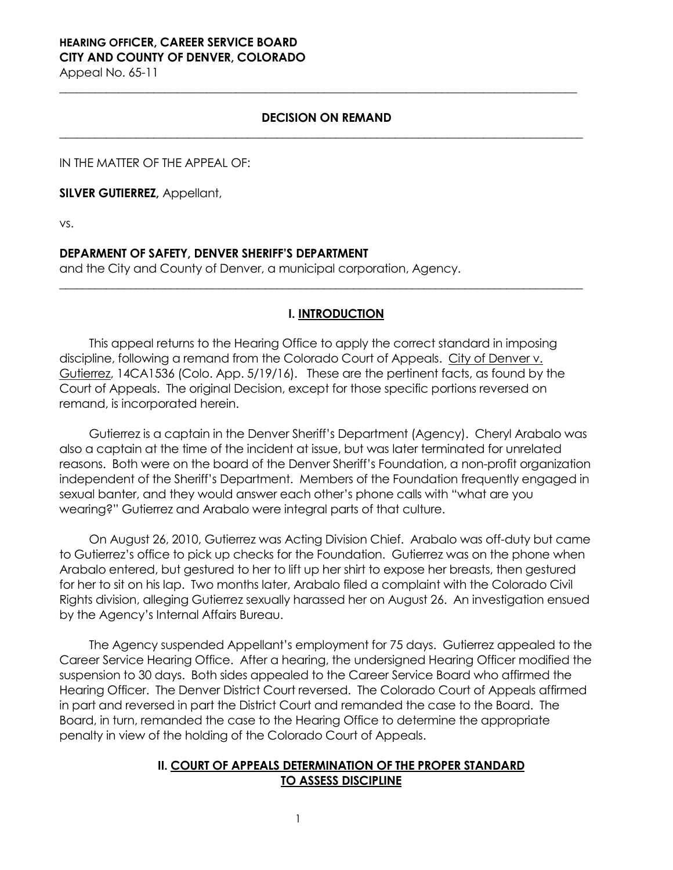# **HEARING OFFICER, CAREER SERVICE BOARD CITY AND COUNTY OF DENVER, COLORADO**

Appeal No. 65-11

## **DECISION ON REMAND \_\_\_\_\_\_\_\_\_\_\_\_\_\_\_\_\_\_\_\_\_\_\_\_\_\_\_\_\_\_\_\_\_\_\_\_\_\_\_\_\_\_\_\_\_\_\_\_\_\_\_\_\_\_\_\_\_\_\_\_\_\_\_\_\_\_\_\_\_\_\_\_\_\_\_\_\_\_\_\_\_\_\_\_\_\_\_\_\_**

**\_\_\_\_\_\_\_\_\_\_\_\_\_\_\_\_\_\_\_\_\_\_\_\_\_\_\_\_\_\_\_\_\_\_\_\_\_\_\_\_\_\_\_\_\_\_\_\_\_\_\_\_\_\_\_\_\_\_\_\_\_\_\_\_\_\_\_\_\_\_\_\_\_\_\_\_\_\_\_\_\_\_\_\_\_\_\_\_**

IN THE MATTER OF THE APPEAL OF:

**SILVER GUTIERREZ,** Appellant,

vs.

## **DEPARMENT OF SAFETY, DENVER SHERIFF'S DEPARTMENT**

and the City and County of Denver, a municipal corporation, Agency.

# **I. INTRODUCTION**

**\_\_\_\_\_\_\_\_\_\_\_\_\_\_\_\_\_\_\_\_\_\_\_\_\_\_\_\_\_\_\_\_\_\_\_\_\_\_\_\_\_\_\_\_\_\_\_\_\_\_\_\_\_\_\_\_\_\_\_\_\_\_\_\_\_\_\_\_\_\_\_\_\_\_\_\_\_\_\_\_\_\_\_\_\_\_\_\_\_**

This appeal returns to the Hearing Office to apply the correct standard in imposing discipline, following a remand from the Colorado Court of Appeals. City of Denver v. Gutierrez, 14CA1536 (Colo. App. 5/19/16). These are the pertinent facts, as found by the Court of Appeals. The original Decision, except for those specific portions reversed on remand, is incorporated herein.

Gutierrez is a captain in the Denver Sheriff's Department (Agency). Cheryl Arabalo was also a captain at the time of the incident at issue, but was later terminated for unrelated reasons. Both were on the board of the Denver Sheriff's Foundation, a non-profit organization independent of the Sheriff's Department. Members of the Foundation frequently engaged in sexual banter, and they would answer each other's phone calls with "what are you wearing?" Gutierrez and Arabalo were integral parts of that culture.

On August 26, 2010, Gutierrez was Acting Division Chief. Arabalo was off-duty but came to Gutierrez's office to pick up checks for the Foundation. Gutierrez was on the phone when Arabalo entered, but gestured to her to lift up her shirt to expose her breasts, then gestured for her to sit on his lap. Two months later, Arabalo filed a complaint with the Colorado Civil Rights division, alleging Gutierrez sexually harassed her on August 26. An investigation ensued by the Agency's Internal Affairs Bureau.

The Agency suspended Appellant's employment for 75 days. Gutierrez appealed to the Career Service Hearing Office. After a hearing, the undersigned Hearing Officer modified the suspension to 30 days. Both sides appealed to the Career Service Board who affirmed the Hearing Officer. The Denver District Court reversed. The Colorado Court of Appeals affirmed in part and reversed in part the District Court and remanded the case to the Board. The Board, in turn, remanded the case to the Hearing Office to determine the appropriate penalty in view of the holding of the Colorado Court of Appeals.

# **II. COURT OF APPEALS DETERMINATION OF THE PROPER STANDARD TO ASSESS DISCIPLINE**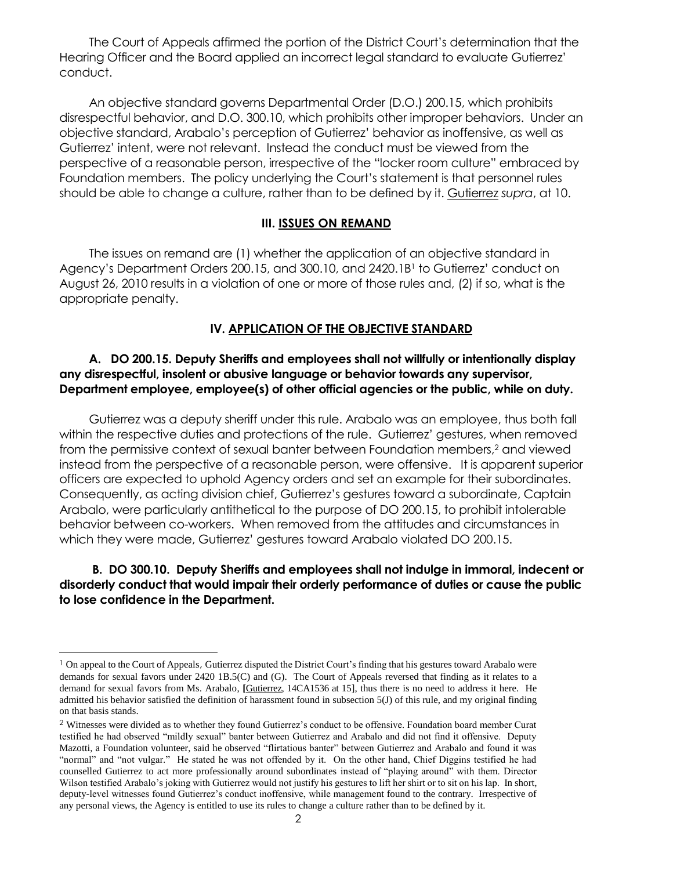The Court of Appeals affirmed the portion of the District Court's determination that the Hearing Officer and the Board applied an incorrect legal standard to evaluate Gutierrez' conduct.

An objective standard governs Departmental Order (D.O.) 200.15, which prohibits disrespectful behavior, and D.O. 300.10, which prohibits other improper behaviors. Under an objective standard, Arabalo's perception of Gutierrez' behavior as inoffensive, as well as Gutierrez' intent, were not relevant. Instead the conduct must be viewed from the perspective of a reasonable person, irrespective of the "locker room culture" embraced by Foundation members. The policy underlying the Court's statement is that personnel rules should be able to change a culture, rather than to be defined by it. Gutierrez *supra*, at 10.

#### **III. ISSUES ON REMAND**

The issues on remand are (1) whether the application of an objective standard in Agency's Department Orders 200.15, and 300.10, and 2420.1B<sup>1</sup> to Gutierrez' conduct on August 26, 2010 results in a violation of one or more of those rules and, (2) if so, what is the appropriate penalty.

## **IV. APPLICATION OF THE OBJECTIVE STANDARD**

# **A. DO 200.15. Deputy Sheriffs and employees shall not willfully or intentionally display any disrespectful, insolent or abusive language or behavior towards any supervisor, Department employee, employee(s) of other official agencies or the public, while on duty.**

Gutierrez was a deputy sheriff under this rule. Arabalo was an employee, thus both fall within the respective duties and protections of the rule. Gutierrez' gestures, when removed from the permissive context of sexual banter between Foundation members,<sup>2</sup> and viewed instead from the perspective of a reasonable person, were offensive. It is apparent superior officers are expected to uphold Agency orders and set an example for their subordinates. Consequently, as acting division chief, Gutierrez's gestures toward a subordinate, Captain Arabalo, were particularly antithetical to the purpose of DO 200.15, to prohibit intolerable behavior between co-workers. When removed from the attitudes and circumstances in which they were made, Gutierrez' gestures toward Arabalo violated DO 200.15.

# **B. DO 300.10. Deputy Sheriffs and employees shall not indulge in immoral, indecent or disorderly conduct that would impair their orderly performance of duties or cause the public to lose confidence in the Department.**

l

<sup>&</sup>lt;sup>1</sup> On appeal to the Court of Appeals, Gutierrez disputed the District Court's finding that his gestures toward Arabalo were demands for sexual favors under 2420 1B.5(C) and (G). The Court of Appeals reversed that finding as it relates to a demand for sexual favors from Ms. Arabalo, *[Gutierrez, 14CA1536 at 15]*, thus there is no need to address it here. He admitted his behavior satisfied the definition of harassment found in subsection 5(J) of this rule, and my original finding on that basis stands.

<sup>2</sup> Witnesses were divided as to whether they found Gutierrez's conduct to be offensive. Foundation board member Curat testified he had observed "mildly sexual" banter between Gutierrez and Arabalo and did not find it offensive. Deputy Mazotti, a Foundation volunteer, said he observed "flirtatious banter" between Gutierrez and Arabalo and found it was "normal" and "not vulgar." He stated he was not offended by it. On the other hand, Chief Diggins testified he had counselled Gutierrez to act more professionally around subordinates instead of "playing around" with them. Director Wilson testified Arabalo's joking with Gutierrez would not justify his gestures to lift her shirt or to sit on his lap. In short, deputy-level witnesses found Gutierrez's conduct inoffensive, while management found to the contrary. Irrespective of any personal views, the Agency is entitled to use its rules to change a culture rather than to be defined by it.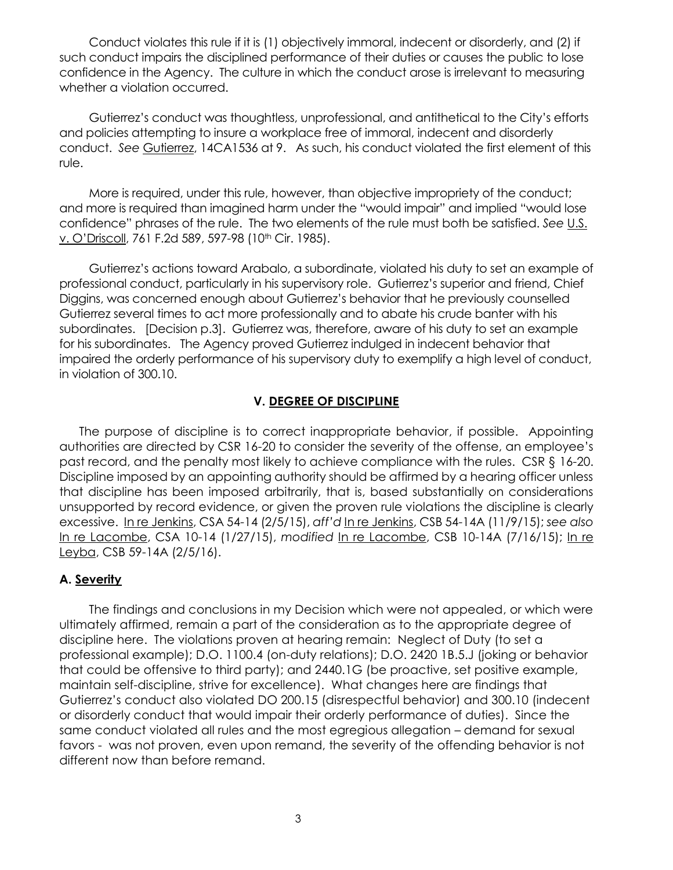Conduct violates this rule if it is (1) objectively immoral, indecent or disorderly, and (2) if such conduct impairs the disciplined performance of their duties or causes the public to lose confidence in the Agency. The culture in which the conduct arose is irrelevant to measuring whether a violation occurred.

Gutierrez's conduct was thoughtless, unprofessional, and antithetical to the City's efforts and policies attempting to insure a workplace free of immoral, indecent and disorderly conduct. *See* Gutierrez, 14CA1536 at 9. As such, his conduct violated the first element of this rule.

More is required, under this rule, however, than objective impropriety of the conduct; and more is required than imagined harm under the "would impair" and implied "would lose confidence" phrases of the rule. The two elements of the rule must both be satisfied. *See* U.S. v. O'Driscoll, 761 F.2d 589, 597-98 (10<sup>th</sup> Cir. 1985).

Gutierrez's actions toward Arabalo, a subordinate, violated his duty to set an example of professional conduct, particularly in his supervisory role. Gutierrez's superior and friend, Chief Diggins, was concerned enough about Gutierrez's behavior that he previously counselled Gutierrez several times to act more professionally and to abate his crude banter with his subordinates. [Decision p.3]. Gutierrez was, therefore, aware of his duty to set an example for his subordinates. The Agency proved Gutierrez indulged in indecent behavior that impaired the orderly performance of his supervisory duty to exemplify a high level of conduct, in violation of 300.10.

#### **V. DEGREE OF DISCIPLINE**

The purpose of discipline is to correct inappropriate behavior, if possible. Appointing authorities are directed by CSR 16-20 to consider the severity of the offense, an employee's past record, and the penalty most likely to achieve compliance with the rules. CSR § 16-20. Discipline imposed by an appointing authority should be affirmed by a hearing officer unless that discipline has been imposed arbitrarily, that is, based substantially on considerations unsupported by record evidence, or given the proven rule violations the discipline is clearly excessive. In re Jenkins, CSA 54-14 (2/5/15), *aff'd* In re Jenkins, CSB 54-14A (11/9/15); *see also*  In re Lacombe, CSA 10-14 (1/27/15), *modified* In re Lacombe, CSB 10-14A (7/16/15); In re Leyba, CSB 59-14A (2/5/16).

## **A. Severity**

The findings and conclusions in my Decision which were not appealed, or which were ultimately affirmed, remain a part of the consideration as to the appropriate degree of discipline here. The violations proven at hearing remain: Neglect of Duty (to set a professional example); D.O. 1100.4 (on-duty relations); D.O. 2420 1B.5.J (joking or behavior that could be offensive to third party); and 2440.1G (be proactive, set positive example, maintain self-discipline, strive for excellence). What changes here are findings that Gutierrez's conduct also violated DO 200.15 (disrespectful behavior) and 300.10 (indecent or disorderly conduct that would impair their orderly performance of duties). Since the same conduct violated all rules and the most egregious allegation – demand for sexual favors - was not proven, even upon remand, the severity of the offending behavior is not different now than before remand.